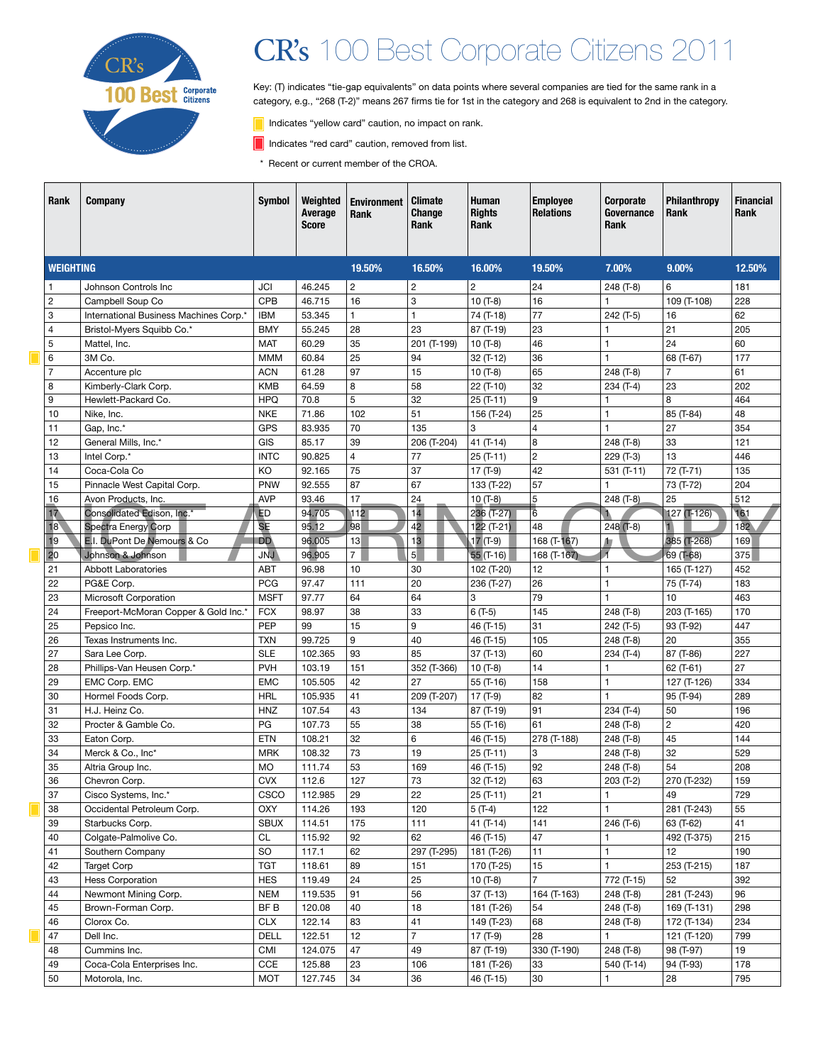

# CR's 100 Best Corporate Citizens 2011

Key: (T) indicates "tie-gap equivalents" on data points where several companies are tied for the same rank in a category, e.g., "268 (T-2)" means 267 firms tie for 1st in the category and 268 is equivalent to 2nd in the category.

- Indicates "yellow card" caution, no impact on rank.
- Indicates "red card" caution, removed from list.
- \* Recent or current member of the CROA.

|  | Rank             | <b>Company</b>                                            | <b>Symbol</b>                 | Weighted<br>Average<br><b>Score</b> | <b>Environment</b><br>Rank | <b>Climate</b><br>Change<br>Rank | <b>Human</b><br><b>Rights</b><br>Rank | <b>Employee</b><br><b>Relations</b> | Corporate<br>Governance<br><b>Rank</b> | Philanthropy<br><b>Rank</b> | <b>Financial</b><br>Rank |
|--|------------------|-----------------------------------------------------------|-------------------------------|-------------------------------------|----------------------------|----------------------------------|---------------------------------------|-------------------------------------|----------------------------------------|-----------------------------|--------------------------|
|  | <b>WEIGHTING</b> |                                                           |                               |                                     | 19.50%                     | 16.50%                           | 16.00%                                | 19.50%                              | 7.00%                                  | 9.00%                       | 12.50%                   |
|  | 1                | Johnson Controls Inc                                      | <b>JCI</b>                    | 46.245                              | $\overline{c}$             | 2                                | $\overline{2}$                        | 24                                  | 248 (T-8)                              | 6                           | 181                      |
|  | 2                | Campbell Soup Co                                          | <b>CPB</b>                    | 46.715                              | 16                         | 3                                | $10(T-8)$                             | 16                                  | $\mathbf{1}$                           | 109 (T-108)                 | 228                      |
|  | 3                | International Business Machines Corp.*                    | <b>IBM</b>                    | 53.345                              | $\mathbf{1}$               | $\mathbf{1}$                     | 74 (T-18)                             | 77                                  | 242 (T-5)                              | 16                          | 62                       |
|  | $\overline{4}$   | Bristol-Myers Squibb Co.*                                 | <b>BMY</b>                    | 55.245                              | 28                         | 23                               | 87 (T-19)                             | 23                                  | $\mathbf{1}$                           | 21                          | 205                      |
|  | 5                | Mattel, Inc.                                              | <b>MAT</b>                    | 60.29                               | 35                         | 201 (T-199)                      | $10(T-8)$                             | 46                                  | $\mathbf{1}$                           | 24                          | 60                       |
|  | 6                | 3M Co.                                                    | <b>MMM</b>                    | 60.84                               | 25                         | 94                               | 32 (T-12)                             | 36                                  | $\mathbf{1}$                           | 68 (T-67)                   | 177                      |
|  | $\overline{7}$   | Accenture plc                                             | <b>ACN</b>                    | 61.28                               | 97                         | 15                               | $10(T-8)$                             | 65                                  | 248 (T-8)                              | $\overline{7}$              | 61                       |
|  | 8                | Kimberly-Clark Corp.                                      | <b>KMB</b>                    | 64.59                               | 8                          | 58                               | 22 (T-10)                             | 32                                  | 234 (T-4)                              | 23                          | 202                      |
|  | 9                | Hewlett-Packard Co.                                       | <b>HPQ</b>                    | 70.8                                | $\overline{5}$             | 32                               | $25(T-11)$                            | 9                                   | -1                                     | 8                           | 464                      |
|  | 10               | Nike, Inc.                                                | <b>NKE</b>                    | 71.86                               | 102                        | 51                               | 156 (T-24)                            | 25                                  | $\mathbf{1}$                           | 85 (T-84)                   | 48                       |
|  | 11               | Gap, Inc.*                                                | <b>GPS</b>                    | 83.935                              | 70                         | 135                              | 3                                     | $\overline{4}$                      | $\mathbf{1}$                           | 27                          | 354                      |
|  | 12               | General Mills, Inc.*                                      | GIS                           | 85.17                               | 39                         | 206 (T-204)                      | 41 $(T-14)$                           | 8                                   | 248 (T-8)                              | 33                          | 121                      |
|  | 13               | Intel Corp.*                                              | <b>INTC</b>                   | 90.825                              | $\overline{4}$             | 77                               | $25(T-11)$                            | $\overline{2}$                      | 229 (T-3)                              | 13                          | 446                      |
|  | 14               | Coca-Cola Co                                              | KO                            | 92.165                              | 75                         | 37                               | 17 $(T-9)$                            | 42                                  | $531 (T-11)$                           | 72 (T-71)                   | 135                      |
|  | 15               | Pinnacle West Capital Corp.                               | PNW                           | 92.555                              | 87                         | 67                               | 133 (T-22)                            | 57                                  | 1                                      | 73 (T-72)                   | 204                      |
|  | 16               | Avon Products, Inc.                                       | <b>AVP</b>                    | 93.46                               | 17                         | 24                               | $10(T-8)$                             | 5                                   | 248 (T-8)                              | 25                          | 512                      |
|  | 17               | Consolidated Edison, Inc.*                                | <b>ED</b>                     | 94.705                              | 112                        | 14                               | 236 (T-27)                            | $6\phantom{a}$                      |                                        | $127$ (T-126)               | 161<br>182               |
|  | 18               | <b>Spectra Energy Corp</b><br>E.I. DuPont De Nemours & Co | <b>SE</b><br><b>DD</b>        | 95.12<br>96.005                     | 98                         | 42<br>13                         | 122 (T-21)<br>$17(T-9)$               | 48                                  | $248$ (T-8)                            | 385 (T-268)                 |                          |
|  | 19<br>20         | Johnson & Johnson                                         | <b>JNJ</b>                    | 96.905                              | 13<br>$\overline{7}$       | 5 <sup>1</sup>                   | $55$ (T-16)                           | 168 (T-167)<br>$168(T-167)$         | 加                                      | 69 (T-68)                   | 169<br>375               |
|  | 21               | <b>Abbott Laboratories</b>                                | <b>ABT</b>                    | 96.98                               | 10                         | 30                               | 102 (T-20)                            | 12                                  | $\mathbf{1}$                           | 165 (T-127)                 | 452                      |
|  | 22               | PG&E Corp.                                                | <b>PCG</b>                    | 97.47                               | 111                        | 20                               | 236 (T-27)                            | 26                                  | $\mathbf{1}$                           | 75 (T-74)                   | 183                      |
|  | 23               | Microsoft Corporation                                     | <b>MSFT</b>                   | 97.77                               | 64                         | 64                               | 3                                     | 79                                  | $\mathbf{1}$                           | 10                          | 463                      |
|  | 24               | Freeport-McMoran Copper & Gold Inc.*                      | <b>FCX</b>                    | 98.97                               | 38                         | 33                               | $6(T-5)$                              | 145                                 | 248 (T-8)                              | 203 (T-165)                 | 170                      |
|  | 25               | Pepsico Inc.                                              | PEP                           | 99                                  | 15                         | 9                                | 46 (T-15)                             | 31                                  | 242 (T-5)                              | 93 (T-92)                   | 447                      |
|  | 26               | Texas Instruments Inc.                                    | <b>TXN</b>                    | 99.725                              | 9                          | 40                               | 46 (T-15)                             | 105                                 | 248 (T-8)                              | 20                          | 355                      |
|  | 27               | Sara Lee Corp.                                            | <b>SLE</b>                    | 102.365                             | 93                         | 85                               | 37 (T-13)                             | 60                                  | $234(T-4)$                             | 87 (T-86)                   | 227                      |
|  | 28               | Phillips-Van Heusen Corp.*                                | <b>PVH</b>                    | 103.19                              | 151                        | 352 (T-366)                      | $10(T-8)$                             | 14                                  | $\mathbf{1}$                           | 62 (T-61)                   | 27                       |
|  | 29               | EMC Corp. EMC                                             | <b>EMC</b>                    | 105.505                             | 42                         | 27                               | 55 (T-16)                             | 158                                 | $\mathbf{1}$                           | 127 (T-126)                 | 334                      |
|  | 30               | Hormel Foods Corp.                                        | <b>HRL</b>                    | 105.935                             | 41                         | 209 (T-207)                      | $17(T-9)$                             | 82                                  | $\mathbf{1}$                           | 95 (T-94)                   | 289                      |
|  | 31               | H.J. Heinz Co.                                            | <b>HNZ</b>                    | 107.54                              | 43                         | 134                              | 87 (T-19)                             | 91                                  | 234 (T-4)                              | 50                          | 196                      |
|  | 32               | Procter & Gamble Co.                                      | PG                            | 107.73                              | 55                         | 38                               | 55 (T-16)                             | 61                                  | 248 (T-8)                              | $\overline{c}$              | 420                      |
|  | 33               | Eaton Corp.                                               | <b>ETN</b>                    | 108.21                              | 32                         | 6                                | 46 (T-15)                             | 278 (T-188)                         | 248 (T-8)                              | 45                          | 144                      |
|  | 34               | Merck & Co., Inc*                                         | <b>MRK</b>                    | 108.32                              | 73                         | 19                               | $25(T-11)$                            | 3                                   | 248 (T-8)                              | 32                          | 529                      |
|  | 35               | Altria Group Inc.                                         | <b>MO</b>                     | 111.74                              | 53                         | 169                              | 46 (T-15)                             | 92                                  | 248 (T-8)                              | 54                          | 208                      |
|  | 36               | Chevron Corp.                                             | <b>CVX</b>                    | 112.6                               | 127                        | 73                               | 32 (T-12)                             | 63                                  | $203($ T-2)                            | 270 (T-232)                 | 159                      |
|  | 37               | Cisco Systems, Inc.*                                      | CSCO                          | 112.985                             | 29                         | 22                               | $25(T-11)$                            | 21                                  | $\mathbf{1}$                           | 49                          | 729                      |
|  | 38               | Occidental Petroleum Corp.                                | <b>OXY</b>                    | 114.26                              | 193                        | 120                              | $5(T-4)$                              | 122                                 | $\mathbf{1}$                           | 281 (T-243)                 | 55                       |
|  | 39               | Starbucks Corp.                                           | <b>SBUX</b>                   | 114.51                              | 175                        | 111                              | 41 (T-14)                             | 141                                 | 246 (T-6)                              | 63 (T-62)                   | 41                       |
|  | 40               | Colgate-Palmolive Co.                                     | <b>CL</b>                     | 115.92                              | 92                         | 62                               | 46 (T-15)                             | 47                                  | $\mathbf{1}$                           | 492 (T-375)                 | 215                      |
|  | 41               | Southern Company                                          | <b>SO</b>                     | 117.1                               | 62                         | 297 (T-295)                      | 181 (T-26)                            | 11                                  | $\mathbf{1}$                           | 12                          | 190                      |
|  | 42               | <b>Target Corp</b><br><b>Hess Corporation</b>             | <b>TGT</b>                    | 118.61                              | 89                         | 151                              | 170 (T-25)                            | 15<br>$\overline{7}$                | $\mathbf{1}$                           | 253 (T-215)                 | 187                      |
|  | 43<br>44         | Newmont Mining Corp.                                      | <b>HES</b>                    | 119.49                              | 24                         | 25                               | 10 $(T-8)$                            |                                     | 772 (T-15)                             | 52                          | 392                      |
|  | 45               | Brown-Forman Corp.                                        | <b>NEM</b><br>BF <sub>B</sub> | 119.535                             | 91                         | 56<br>18                         | 37 (T-13)<br>181 (T-26)               | 164 (T-163)<br>54                   | 248 (T-8)                              | 281 (T-243)                 | 96<br>298                |
|  | 46               | Clorox Co.                                                | <b>CLX</b>                    | 120.08<br>122.14                    | 40<br>83                   | 41                               | 149 (T-23)                            | 68                                  | 248 (T-8)<br>248 (T-8)                 | 169 (T-131)<br>172 (T-134)  | 234                      |
|  | 47               | Dell Inc.                                                 | <b>DELL</b>                   | 122.51                              | 12                         | $\overline{7}$                   | $17(T-9)$                             | 28                                  | $\mathbf{1}$                           | 121 (T-120)                 | 799                      |
|  | 48               | Cummins Inc.                                              | <b>CMI</b>                    | 124.075                             | 47                         | 49                               | 87 (T-19)                             | 330 (T-190)                         | 248 (T-8)                              | 98 (T-97)                   | 19                       |
|  | 49               | Coca-Cola Enterprises Inc.                                | <b>CCE</b>                    | 125.88                              | 23                         | 106                              | 181 (T-26)                            | 33                                  | 540 (T-14)                             | 94 (T-93)                   | 178                      |
|  | 50               | Motorola, Inc.                                            | <b>MOT</b>                    | 127.745                             | 34                         | 36                               | 46 (T-15)                             | 30                                  | 1                                      | 28                          | 795                      |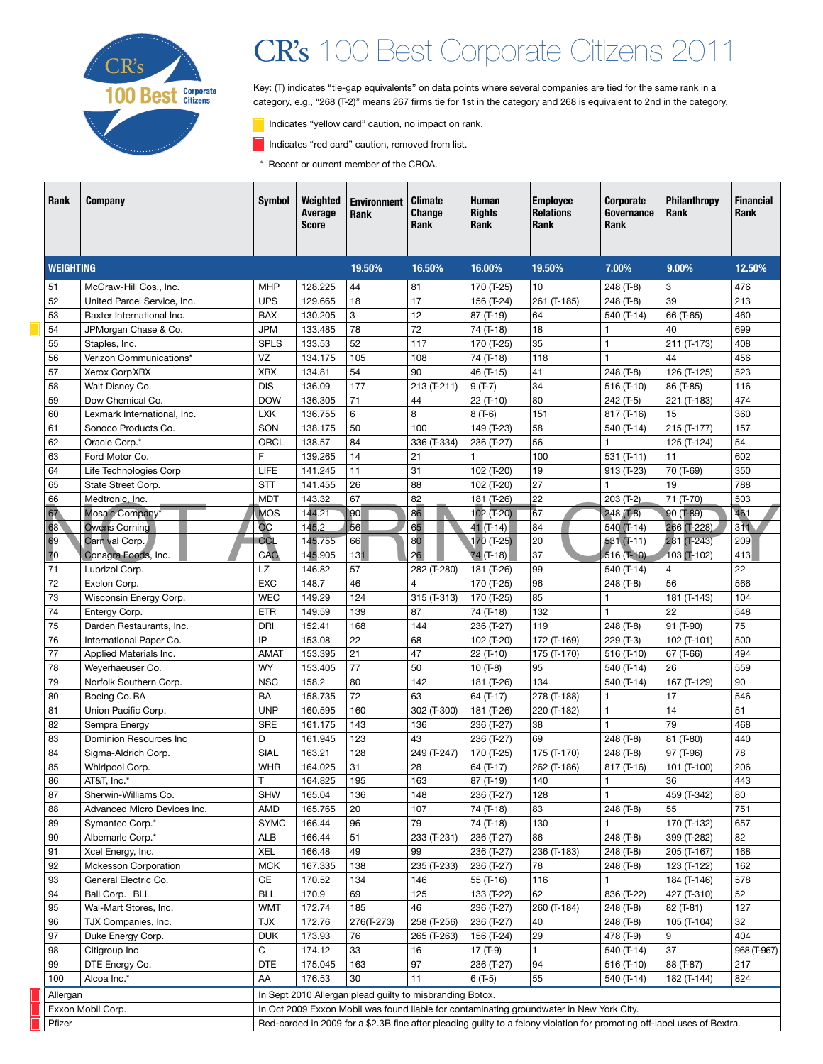

# CR's 100 Best Corporate Citizens 2011

Key: (T) indicates "tie-gap equivalents" on data points where several companies are tied for the same rank in a category, e.g., "268 (T-2)" means 267 firms tie for 1st in the category and 268 is equivalent to 2nd in the category.

- Indicates "yellow card" caution, no impact on rank.
- Indicates "red card" caution, removed from list.
- \* Recent or current member of the CROA.

| Rank             | <b>Company</b>              | <b>Symbol</b>                                                                                                            | Weighted<br>Average<br><b>Score</b> | <b>Environment</b><br>Rank                               | <b>Climate</b><br>Change<br>Rank | <b>Human</b><br><b>Rights</b><br>Rank | <b>Employee</b><br><b>Relations</b><br>Rank | Corporate<br>Governance<br><b>Rank</b> | Philanthropy<br><b>Rank</b> | <b>Financial</b><br>Rank |
|------------------|-----------------------------|--------------------------------------------------------------------------------------------------------------------------|-------------------------------------|----------------------------------------------------------|----------------------------------|---------------------------------------|---------------------------------------------|----------------------------------------|-----------------------------|--------------------------|
| <b>WEIGHTING</b> |                             |                                                                                                                          |                                     | 19.50%                                                   | 16.50%                           | 16.00%                                | 19.50%                                      | 7.00%                                  | 9.00%                       | 12.50%                   |
| 51               | McGraw-Hill Cos., Inc.      | <b>MHP</b>                                                                                                               | 128.225                             | 44                                                       | 81                               | 170 (T-25)                            | 10                                          | 248 (T-8)                              | 3                           | 476                      |
| 52               | United Parcel Service, Inc. | <b>UPS</b>                                                                                                               | 129.665                             | 18                                                       | 17                               | 156 (T-24)                            | 261 (T-185)                                 | 248 (T-8)                              | 39                          | 213                      |
| 53               | Baxter International Inc.   | <b>BAX</b>                                                                                                               | 130.205                             | 3                                                        | 12                               | 87 (T-19)                             | 64                                          | 540 (T-14)                             | 66 (T-65)                   | 460                      |
| 54               | JPMorgan Chase & Co.        | <b>JPM</b>                                                                                                               | 133.485                             | 78                                                       | 72                               | 74 (T-18)                             | 18                                          | $\mathbf{1}$                           | 40                          | 699                      |
| 55               | Staples, Inc.               | <b>SPLS</b>                                                                                                              | 133.53                              | 52                                                       | 117                              | 170 (T-25)                            | 35                                          | $\mathbf{1}$                           | 211 (T-173)                 | 408                      |
| 56               | Verizon Communications*     | VZ                                                                                                                       | 134.175                             | 105                                                      | 108                              | 74 (T-18)                             | 118                                         | $\mathbf{1}$                           | 44                          | 456                      |
| 57               | Xerox Corp XRX              | <b>XRX</b>                                                                                                               | 134.81                              | 54                                                       | 90                               | 46 (T-15)                             | 41                                          | 248 (T-8)                              | 126 (T-125)                 | 523                      |
| 58               | Walt Disney Co.             | <b>DIS</b>                                                                                                               | 136.09                              | 177                                                      | 213 (T-211)                      | $9(T-7)$                              | 34                                          | $516$ (T-10)                           | 86 (T-85)                   | 116                      |
| 59               | Dow Chemical Co.            | <b>DOW</b>                                                                                                               | 136.305                             | 71                                                       | 44                               | 22 (T-10)                             | 80                                          | 242 (T-5)                              | 221 (T-183)                 | 474                      |
| 60               | Lexmark International, Inc. | <b>LXK</b>                                                                                                               | 136.755                             | 6                                                        | 8                                | $8(T-6)$                              | 151                                         | 817 (T-16)                             | 15                          | 360                      |
| 61               | Sonoco Products Co.         | SON                                                                                                                      | 138.175                             | 50                                                       | 100                              | 149 (T-23)                            | 58                                          | 540 (T-14)                             | 215 (T-177)                 | 157                      |
| 62               | Oracle Corp.*               | ORCL                                                                                                                     | 138.57                              | 84                                                       | 336 (T-334)                      | 236 (T-27)                            | 56                                          | $\mathbf{1}$                           | 125 (T-124)                 | 54                       |
| 63               | Ford Motor Co.              | F                                                                                                                        | 139.265                             | 14                                                       | 21                               | 1                                     | 100                                         | 531 $(T-11)$                           | 11                          | 602                      |
| 64               | Life Technologies Corp      | LIFE                                                                                                                     | 141.245                             | 11                                                       | 31                               | 102 (T-20)                            | 19                                          | 913 (T-23)                             | 70 (T-69)                   | 350                      |
| 65               | State Street Corp.          | <b>STT</b>                                                                                                               | 141.455                             | 26                                                       | 88                               | 102 (T-20)                            | 27                                          | $\mathbf{1}$                           | 19                          | 788                      |
| 66               | Medtronic, Inc.             | <b>MDT</b>                                                                                                               | 143.32                              | 67                                                       | 82                               | 181 (T-26)                            | 22                                          | 203 (T-2)                              | 71 (T-70)                   | 503                      |
| 67               | Mosaic Company <sup>*</sup> | <b>MOS</b>                                                                                                               | 144.21                              | 90                                                       | 86                               | 102 (T-20)                            | 67                                          | $248(7-8)$                             | $90($ T-89)                 | 461                      |
| 68               | <b>Owens Corning</b>        | $\overline{OC}$                                                                                                          | 145.2                               | 56                                                       | 65                               | $41$ (T-14)                           | 84                                          | $540($ T-14)                           | 266 (T-228)                 | 311                      |
| 69               | Carnival Corp.              | CCL                                                                                                                      | 145.755                             | 66                                                       | 80                               | $170($ T-25)                          | 20                                          | $531(1-11)$                            | 281 (T-243)                 | 209                      |
| 70               | Conagra Foods, Inc.         | CAG                                                                                                                      | 145.905                             | 131                                                      | 26                               | $74$ (T-18)                           | 37                                          | 516 (T-10)                             | $103$ (T-102)               | 413                      |
| 71               | Lubrizol Corp.              | LZ                                                                                                                       | 146.82                              | 57                                                       | 282 (T-280)                      | 181 (T-26)                            | 99                                          | 540 (T-14)                             | 4                           | 22                       |
| 72               | Exelon Corp.                | <b>EXC</b>                                                                                                               | 148.7                               | 46                                                       | 4                                | 170 (T-25)                            | 96                                          | 248 (T-8)                              | 56                          | 566                      |
| 73               | Wisconsin Energy Corp.      | <b>WEC</b>                                                                                                               | 149.29                              | 124                                                      | 315 (T-313)                      | 170 (T-25)                            | 85                                          | $\mathbf{1}$                           | 181 (T-143)                 | 104                      |
| 74               | Entergy Corp.               | <b>ETR</b>                                                                                                               | 149.59                              | 139                                                      | 87                               | 74 (T-18)                             | 132                                         | $\mathbf{1}$                           | 22                          | 548                      |
| 75               | Darden Restaurants, Inc.    | DRI                                                                                                                      | 152.41                              | 168                                                      | 144                              | 236 (T-27)                            | 119                                         | 248 (T-8)                              | 91 (T-90)                   | 75                       |
| 76               | International Paper Co.     | IP                                                                                                                       | 153.08                              | 22                                                       | 68                               | 102 (T-20)                            | 172 (T-169)                                 | 229 (T-3)                              | 102 (T-101)                 | 500                      |
| 77               | Applied Materials Inc.      | <b>AMAT</b>                                                                                                              | 153.395                             | 21                                                       | 47                               | 22 (T-10)                             | 175 (T-170)                                 | 516 (T-10)                             | 67 (T-66)                   | 494                      |
| 78               | Weyerhaeuser Co.            | <b>WY</b>                                                                                                                | 153.405                             | 77                                                       | 50                               | $10(T-8)$                             | 95                                          | 540 (T-14)                             | 26                          | 559                      |
| 79               | Norfolk Southern Corp.      | <b>NSC</b>                                                                                                               | 158.2                               | 80                                                       | 142                              | 181 (T-26)                            | 134                                         | 540 (T-14)                             | 167 (T-129)                 | 90                       |
| 80               | Boeing Co. BA               | BA                                                                                                                       | 158.735                             | 72                                                       | 63                               | 64 (T-17)                             | 278 (T-188)                                 | $\mathbf{1}$                           | 17                          | 546                      |
| 81               | Union Pacific Corp.         | <b>UNP</b>                                                                                                               | 160.595                             | 160                                                      | 302 (T-300)                      | 181 (T-26)                            | 220 (T-182)                                 | $\mathbf{1}$                           | 14                          | 51                       |
| 82               | Sempra Energy               | <b>SRE</b>                                                                                                               | 161.175                             | 143                                                      | 136                              | 236 (T-27)                            | 38                                          | $\mathbf{1}$                           | 79                          | 468                      |
| 83               | Dominion Resources Inc      | D                                                                                                                        | 161.945                             | 123                                                      | 43                               | 236 (T-27)                            | 69                                          | 248 (T-8)                              | 81 (T-80)                   | 440                      |
| 84               | Sigma-Aldrich Corp.         | SIAL                                                                                                                     | 163.21                              | 128                                                      | 249 (T-247)                      | 170 (T-25)                            | 175 (T-170)                                 | 248 (T-8)                              | 97 (T-96)                   | 78                       |
| 85               | Whirlpool Corp.             | <b>WHR</b>                                                                                                               | 164.025                             | 31                                                       | 28                               | 64 (T-17)                             | 262 (T-186)                                 | 817 (T-16)                             | 101 (T-100)                 | 206                      |
| 86               | AT&T, Inc.*                 | T                                                                                                                        | 164.825                             | 195                                                      | 163                              | 87 (T-19)                             | 140                                         | $\mathbf{1}$                           | 36                          | 443                      |
| 87               | Sherwin-Williams Co.        | <b>SHW</b>                                                                                                               | 165.04                              | 136                                                      | 148                              | 236 (T-27)                            | 128                                         | $\mathbf{1}$                           | 459 (T-342)                 | 80                       |
| 88               | Advanced Micro Devices Inc. | AMD                                                                                                                      | 165.765                             | 20                                                       | 107                              | 74 (T-18)                             | 83                                          | 248 (T-8)                              | 55                          | 751                      |
| 89               | Symantec Corp.*             | <b>SYMC</b>                                                                                                              | 166.44                              | 96                                                       | 79                               | 74 (T-18)                             | 130                                         | 1                                      | 170 (T-132)                 | 657                      |
| 90               | Albemarle Corp.*            | <b>ALB</b>                                                                                                               | 166.44                              | 51                                                       | 233 (T-231)                      | 236 (T-27)                            | 86                                          | 248 (T-8)                              | 399 (T-282)                 | 82                       |
| 91               | Xcel Energy, Inc.           | <b>XEL</b>                                                                                                               | 166.48                              | 49                                                       | 99                               | 236 (T-27)                            | 236 (T-183)                                 | 248 (T-8)                              | 205 (T-167)                 | 168                      |
| 92               | <b>Mckesson Corporation</b> | <b>MCK</b>                                                                                                               | 167.335                             | 138                                                      | 235 (T-233)                      | 236 (T-27)                            | 78                                          | 248 (T-8)                              | 123 (T-122)                 | 162                      |
| 93               | General Electric Co.        | GE                                                                                                                       | 170.52                              | 134                                                      | 146                              | 55 (T-16)                             | 116                                         |                                        | 184 (T-146)                 | 578                      |
| 94               | Ball Corp. BLL              | <b>BLL</b>                                                                                                               | 170.9                               | 69                                                       | 125                              | 133 (T-22)                            | 62                                          | 836 (T-22)                             | 427 (T-310)                 | 52                       |
| 95               | Wal-Mart Stores, Inc.       | <b>WMT</b>                                                                                                               | 172.74                              | 185                                                      | 46                               | 236 (T-27)                            | 260 (T-184)                                 | 248 (T-8)                              | 82 (T-81)                   | 127                      |
| 96               | TJX Companies, Inc.         | <b>XLT</b>                                                                                                               | 172.76                              | 276(T-273)                                               | 258 (T-256)                      | 236 (T-27)                            | 40                                          | 248 (T-8)                              | 105 (T-104)                 | 32                       |
| 97               | Duke Energy Corp.           | <b>DUK</b>                                                                                                               | 173.93                              | 76                                                       | 265 (T-263)                      | 156 (T-24)                            | 29                                          | 478 (T-9)                              | 9                           | 404                      |
| 98               | Citigroup Inc               | C                                                                                                                        | 174.12                              | 33                                                       | 16                               | 17 (T-9)                              | $\mathbf{1}$                                | 540 (T-14)                             | 37                          | 968 (T-967)              |
| 99               | DTE Energy Co.              | <b>DTE</b>                                                                                                               | 175.045                             | 163                                                      | 97                               | 236 (T-27)                            | 94                                          | $516$ (T-10)                           | 88 (T-87)                   | 217                      |
| 100              | Alcoa Inc.*                 | AA                                                                                                                       | 176.53                              | 30                                                       | 11                               | $6(T-5)$                              | 55                                          | 540 (T-14)                             | 182 (T-144)                 | 824                      |
| Allergan         |                             |                                                                                                                          |                                     | In Sept 2010 Allergan plead guilty to misbranding Botox. |                                  |                                       |                                             |                                        |                             |                          |
|                  | Exxon Mobil Corp.           | In Oct 2009 Exxon Mobil was found liable for contaminating groundwater in New York City.                                 |                                     |                                                          |                                  |                                       |                                             |                                        |                             |                          |
| Pfizer           |                             | Red-carded in 2009 for a \$2.3B fine after pleading guilty to a felony violation for promoting off-label uses of Bextra. |                                     |                                                          |                                  |                                       |                                             |                                        |                             |                          |